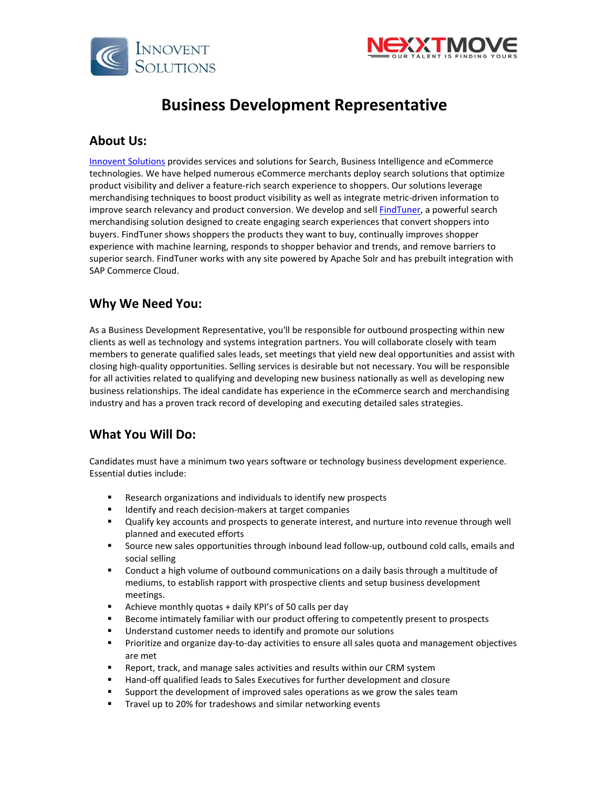



# **Business Development Representative**

#### **About Us:**

[Innovent Solutions](https://www.innoventsolutions.com/) provides services and solutions for Search, Business Intelligence and eCommerce technologies. We have helped numerous eCommerce merchants deploy search solutions that optimize product visibility and deliver a feature-rich search experience to shoppers. Our solutions leverage merchandising techniques to boost product visibility as well as integrate metric-driven information to improve search relevancy and product conversion. We develop and sel[l FindTuner,](https://www.findtuner.com/) a powerful search merchandising solution designed to create engaging search experiences that convert shoppers into buyers. FindTuner shows shoppers the products they want to buy, continually improves shopper experience with machine learning, responds to shopper behavior and trends, and remove barriers to superior search. FindTuner works with any site powered by Apache Solr and has prebuilt integration with SAP Commerce Cloud.

## **Why We Need You:**

As a Business Development Representative, you'll be responsible for outbound prospecting within new clients as well as technology and systems integration partners. You will collaborate closely with team members to generate qualified sales leads, set meetings that yield new deal opportunities and assist with closing high-quality opportunities. Selling services is desirable but not necessary. You will be responsible for all activities related to qualifying and developing new business nationally as well as developing new business relationships. The ideal candidate has experience in the eCommerce search and merchandising industry and has a proven track record of developing and executing detailed sales strategies.

## **What You Will Do:**

Candidates must have a minimum two years software or technology business development experience. Essential duties include:

- Research organizations and individuals to identify new prospects
- Identify and reach decision-makers at target companies
- Qualify key accounts and prospects to generate interest, and nurture into revenue through well planned and executed efforts
- Source new sales opportunities through inbound lead follow-up, outbound cold calls, emails and social selling
- Conduct a high volume of outbound communications on a daily basis through a multitude of mediums, to establish rapport with prospective clients and setup business development meetings.
- Achieve monthly quotas + daily KPI's of 50 calls per day
- Become intimately familiar with our product offering to competently present to prospects
- Understand customer needs to identify and promote our solutions
- **Prioritize and organize day-to-day activities to ensure all sales quota and management objectives** are met
- Report, track, and manage sales activities and results within our CRM system
- Hand-off qualified leads to Sales Executives for further development and closure
- Support the development of improved sales operations as we grow the sales team
- **Travel up to 20% for tradeshows and similar networking events**